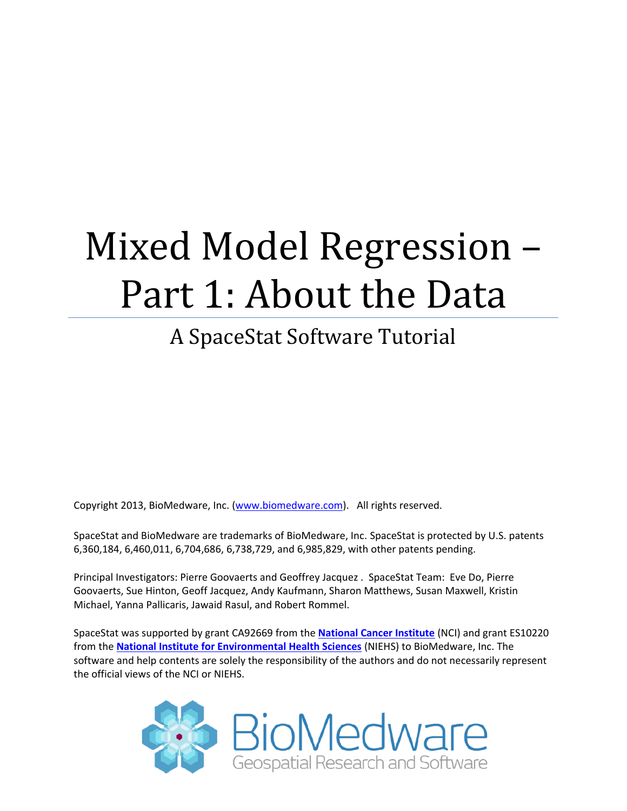# Mixed Model Regression – Part 1: About the Data

# A SpaceStat Software Tutorial

Copyright 2013, BioMedware, Inc. [\(www.biomedware.com\)](http://www.biomedware.com/). All rights reserved.

SpaceStat and BioMedware are trademarks of BioMedware, Inc. SpaceStat is protected by U.S. patents 6,360,184, 6,460,011, 6,704,686, 6,738,729, and 6,985,829, with other patents pending.

Principal Investigators: Pierre Goovaerts and Geoffrey Jacquez . SpaceStat Team: Eve Do, Pierre Goovaerts, Sue Hinton, Geoff Jacquez, Andy Kaufmann, Sharon Matthews, Susan Maxwell, Kristin Michael, Yanna Pallicaris, Jawaid Rasul, and Robert Rommel.

SpaceStat was supported by grant CA92669 from the **[National Cancer Institute](http://www.nci.nih.gov/)** (NCI) and grant ES10220 from the **[National Institute for Environmental Health Sciences](http://www.niehs.nih.gov/)** (NIEHS) to BioMedware, Inc. The software and help contents are solely the responsibility of the authors and do not necessarily represent the official views of the NCI or NIEHS.

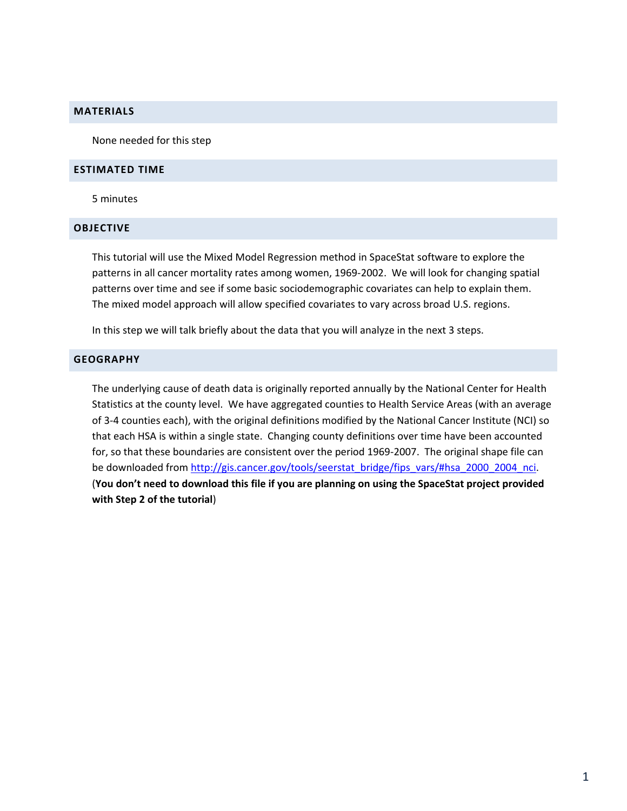#### **MATERIALS**

None needed for this step

#### **ESTIMATED TIME**

5 minutes

#### **OBJECTIVE**

This tutorial will use the Mixed Model Regression method in SpaceStat software to explore the patterns in all cancer mortality rates among women, 1969-2002. We will look for changing spatial patterns over time and see if some basic sociodemographic covariates can help to explain them. The mixed model approach will allow specified covariates to vary across broad U.S. regions.

In this step we will talk briefly about the data that you will analyze in the next 3 steps.

## **GEOGRAPHY**

The underlying cause of death data is originally reported annually by the National Center for Health Statistics at the county level. We have aggregated counties to Health Service Areas (with an average of 3-4 counties each), with the original definitions modified by the National Cancer Institute (NCI) so that each HSA is within a single state. Changing county definitions over time have been accounted for, so that these boundaries are consistent over the period 1969-2007. The original shape file can be downloaded from [http://gis.cancer.gov/tools/seerstat\\_bridge/fips\\_vars/#hsa\\_2000\\_2004\\_nci.](http://gis.cancer.gov/tools/seerstat_bridge/fips_vars/#hsa_2000_2004_nci) (**You don't need to download this file if you are planning on using the SpaceStat project provided with Step 2 of the tutorial**)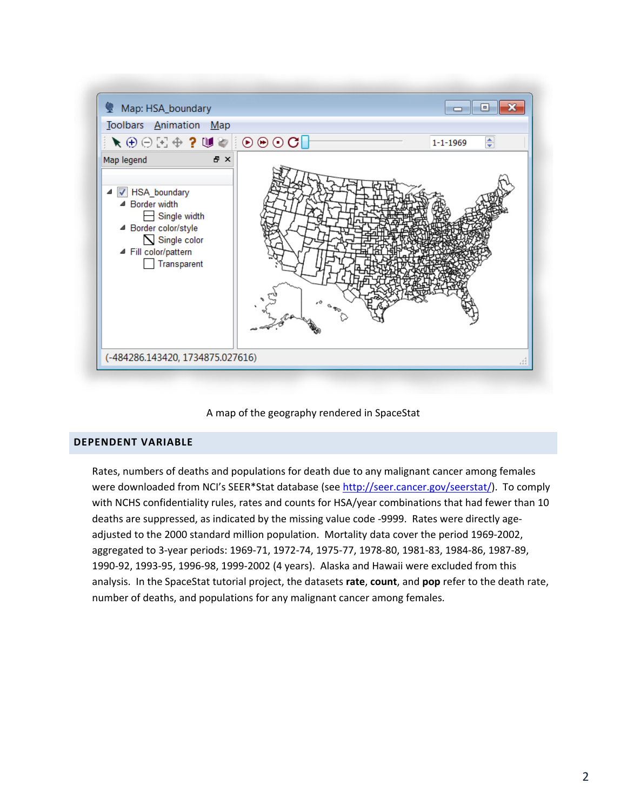

## A map of the geography rendered in SpaceStat

# **DEPENDENT VARIABLE**

Rates, numbers of deaths and populations for death due to any malignant cancer among females were downloaded from NCI's SEER\*Stat database (see [http://seer.cancer.gov/seerstat/\)](http://seer.cancer.gov/seerstat/). To comply with NCHS confidentiality rules, rates and counts for HSA/year combinations that had fewer than 10 deaths are suppressed, as indicated by the missing value code -9999. Rates were directly ageadjusted to the 2000 standard million population. Mortality data cover the period 1969-2002, aggregated to 3-year periods: 1969-71, 1972-74, 1975-77, 1978-80, 1981-83, 1984-86, 1987-89, 1990-92, 1993-95, 1996-98, 1999-2002 (4 years). Alaska and Hawaii were excluded from this analysis. In the SpaceStat tutorial project, the datasets **rate**, **count**, and **pop** refer to the death rate, number of deaths, and populations for any malignant cancer among females.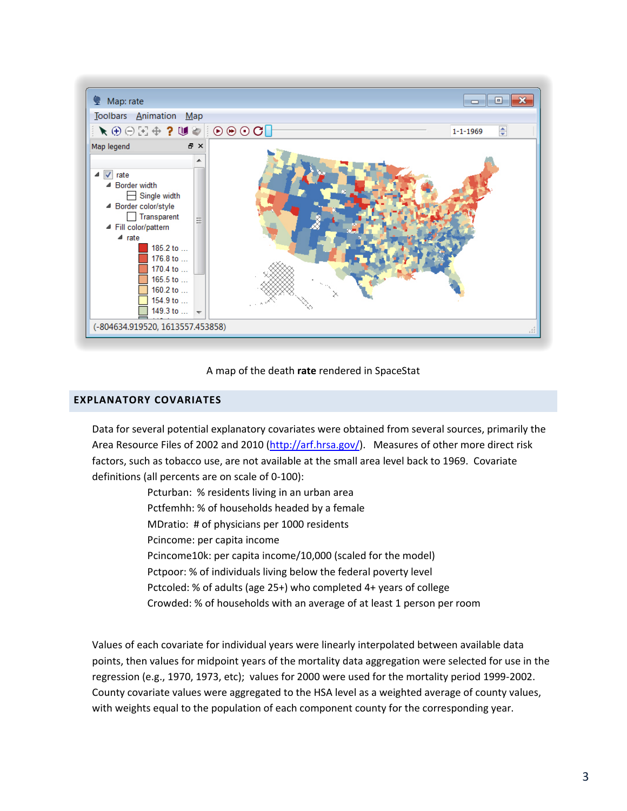

## A map of the death **rate** rendered in SpaceStat

# **EXPLANATORY COVARIATES**

Data for several potential explanatory covariates were obtained from several sources, primarily the Area Resource Files of 2002 and 2010 [\(http://arf.hrsa.gov/\)](http://arf.hrsa.gov/). Measures of other more direct risk factors, such as tobacco use, are not available at the small area level back to 1969. Covariate definitions (all percents are on scale of 0-100):

> Pcturban: % residents living in an urban area Pctfemhh: % of households headed by a female MDratio: # of physicians per 1000 residents Pcincome: per capita income Pcincome10k: per capita income/10,000 (scaled for the model) Pctpoor: % of individuals living below the federal poverty level Pctcoled: % of adults (age 25+) who completed 4+ years of college Crowded: % of households with an average of at least 1 person per room

Values of each covariate for individual years were linearly interpolated between available data points, then values for midpoint years of the mortality data aggregation were selected for use in the regression (e.g., 1970, 1973, etc); values for 2000 were used for the mortality period 1999-2002. County covariate values were aggregated to the HSA level as a weighted average of county values, with weights equal to the population of each component county for the corresponding year.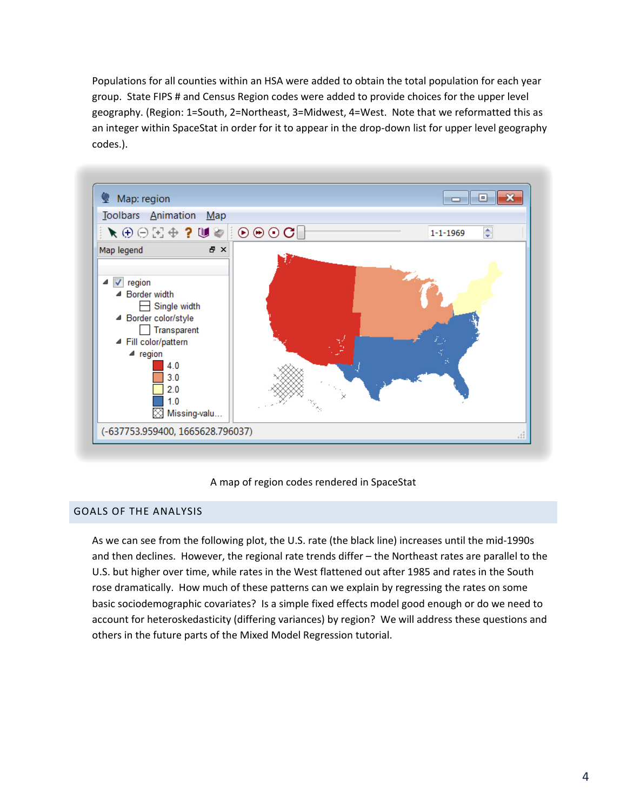Populations for all counties within an HSA were added to obtain the total population for each year group. State FIPS # and Census Region codes were added to provide choices for the upper level geography. (Region: 1=South, 2=Northeast, 3=Midwest, 4=West. Note that we reformatted this as an integer within SpaceStat in order for it to appear in the drop-down list for upper level geography codes.).



## A map of region codes rendered in SpaceStat

## GOALS OF THE ANALYSIS

As we can see from the following plot, the U.S. rate (the black line) increases until the mid-1990s and then declines. However, the regional rate trends differ – the Northeast rates are parallel to the U.S. but higher over time, while rates in the West flattened out after 1985 and rates in the South rose dramatically. How much of these patterns can we explain by regressing the rates on some basic sociodemographic covariates? Is a simple fixed effects model good enough or do we need to account for heteroskedasticity (differing variances) by region? We will address these questions and others in the future parts of the Mixed Model Regression tutorial.